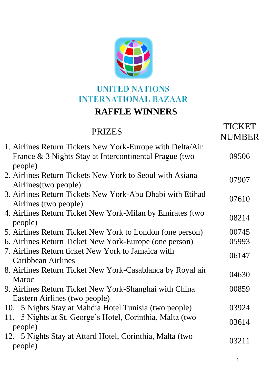

## **UNITED NATIONS INTERNATIONAL BAZAAR RAFFLE WINNERS**

## PRIZES TICKET **NUMBER** 1. Airlines Return Tickets New York-Europe with Delta/Air France & 3 Nights Stay at Intercontinental Prague (two people) 09506 2. Airlines Return Tickets New York to Seoul with Asiana Airlines Actual Prefets From Port to Beout with Asiana 07907<br>Airlines(two people) 3. Airlines Return Tickets New York-Abu Dhabi with Etihad Airlines Actum Tickets New York Abd Dhabi with Ethian 07610<br>Airlines (two people) 4. Airlines Return Ticket New York-Milan by Emirates (two Primics Return Ticket New Tork-William by Emmates (two 08214 5. Airlines Return Ticket New York to London (one person) 00745 6. Airlines Return Ticket New York-Europe (one person) 05993 7. Airlines Return ticket New York to Jamaica with Caribbean Airlines 8. Airlines Return Ticket New York-Casablanca by Royal air All the Network of the Casabianca by Royal and the 04630 Maroc 9. Airlines Return Ticket New York-Shanghai with China Eastern Airlines (two people) 00859 10. 5 Nights Stay at Mahdia Hotel Tunisia (two people) 03924 11. 5 Nights at St. George's Hotel, Corinthia, Malta (two  $\frac{1}{2}$   $\frac{1}{2}$   $\frac{1}{2}$   $\frac{1}{2}$   $\frac{1}{2}$   $\frac{1}{2}$   $\frac{1}{2}$   $\frac{1}{2}$   $\frac{1}{2}$   $\frac{1}{2}$   $\frac{1}{2}$   $\frac{1}{2}$   $\frac{1}{2}$   $\frac{1}{2}$   $\frac{1}{2}$   $\frac{1}{2}$   $\frac{1}{2}$   $\frac{1}{2}$   $\frac{1}{2}$   $\frac{1}{2}$   $\frac{1}{2}$   $\frac{1}{2}$  12. 5 Nights Stay at Attard Hotel, Corinthia, Malta (two  $\frac{1}{2}$  Deople)  $\frac{03211}{2}$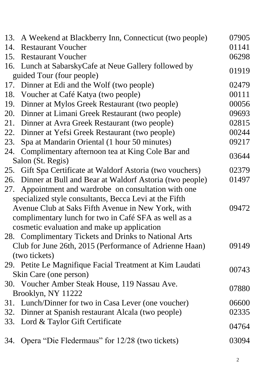| 13. | A Weekend at Blackberry Inn, Connecticut (two people)      | 07905 |
|-----|------------------------------------------------------------|-------|
| 14. | <b>Restaurant Voucher</b>                                  | 01141 |
| 15. | <b>Restaurant Voucher</b>                                  | 06298 |
|     | 16. Lunch at Sabarsky Cafe at Neue Gallery followed by     |       |
|     | guided Tour (four people)                                  | 01919 |
| 17. | Dinner at Edi and the Wolf (two people)                    | 02479 |
| 18. | Voucher at Café Katya (two people)                         | 00111 |
| 19. | Dinner at Mylos Greek Restaurant (two people)              | 00056 |
| 20. | Dinner at Limani Greek Restaurant (two people)             | 09693 |
| 21. | Dinner at Avra Greek Restaurant (two people)               | 02815 |
| 22. | Dinner at Yefsi Greek Restaurant (two people)              | 00244 |
| 23. | Spa at Mandarin Oriental (1 hour 50 minutes)               | 09217 |
| 24. | Complimentary afternoon tea at King Cole Bar and           |       |
|     | Salon (St. Regis)                                          | 03644 |
|     | 25. Gift Spa Certificate at Waldorf Astoria (two vouchers) | 02379 |
| 26. | Dinner at Bull and Bear at Waldorf Astoria (two people)    | 01497 |
| 27. | Appointment and wardrobe on consultation with one          |       |
|     | specialized style consultants, Becca Levi at the Fifth     |       |
|     | Avenue Club at Saks Fifth Avenue in New York, with         | 09472 |
|     | complimentary lunch for two in Café SFA as well as a       |       |
|     | cosmetic evaluation and make up application                |       |
|     | 28. Complimentary Tickets and Drinks to National Arts      |       |
|     | Club for June 26th, 2015 (Performance of Adrienne Haan)    | 09149 |
|     | (two tickets)                                              |       |
|     | 29. Petite Le Magnifique Facial Treatment at Kim Laudati   |       |
|     | Skin Care (one person)                                     | 00743 |
|     | 30. Voucher Amber Steak House, 119 Nassau Ave.             |       |
|     | Brooklyn, NY 11222                                         | 07880 |
|     | 31. Lunch/Dinner for two in Casa Lever (one voucher)       | 06600 |
| 32. | Dinner at Spanish restaurant Alcala (two people)           | 02335 |
|     | 33. Lord & Taylor Gift Certificate                         |       |
|     |                                                            | 04764 |
| 34. | Opera "Die Fledermaus" for 12/28 (two tickets)             | 03094 |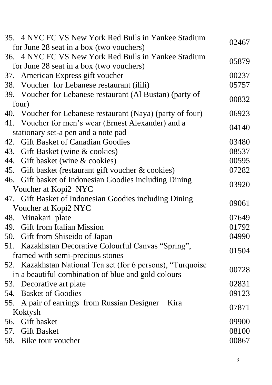|       | 35. 4 NYC FC VS New York Red Bulls in Yankee Stadium<br>for June 28 seat in a box (two vouchers) | 02467          |
|-------|--------------------------------------------------------------------------------------------------|----------------|
|       | 36. 4 NYC FC VS New York Red Bulls in Yankee Stadium                                             |                |
|       | for June 28 seat in a box (two vouchers)                                                         | 05879          |
|       | 37. American Express gift voucher                                                                | 00237          |
| 38.   | Voucher for Lebanese restaurant (ilili)                                                          | 05757          |
|       | 39. Voucher for Lebanese restaurant (Al Bustan) (party of                                        |                |
| four) |                                                                                                  | 00832          |
|       | 40. Voucher for Lebanese restaurant (Naya) (party of four)                                       | 06923          |
|       | 41. Voucher for men's wear (Ernest Alexander) and a                                              |                |
|       | stationary set-a pen and a note pad                                                              | 04140          |
|       | 42. Gift Basket of Canadian Goodies                                                              | 03480          |
| 43.   | Gift Basket (wine & cookies)                                                                     | 08537          |
|       | 44. Gift basket (wine & cookies)                                                                 | 00595          |
|       | 45. Gift basket (restaurant gift voucher & cookies)                                              | 07282          |
|       | 46. Gift basket of Indonesian Goodies including Dining                                           | 03920          |
|       | Voucher at Kopi2 NYC                                                                             |                |
|       | 47. Gift Basket of Indonesian Goodies including Dining                                           | 09061          |
|       | Voucher at Kopi2 NYC                                                                             |                |
|       | 48. Minakari plate                                                                               | 07649          |
|       | 49. Gift from Italian Mission                                                                    | 01792          |
|       | 50. Gift from Shiseido of Japan                                                                  | 04990          |
|       | 51. Kazakhstan Decorative Colourful Canvas "Spring",                                             | 01504          |
|       | framed with semi-precious stones                                                                 |                |
|       | 52. Kazakhstan National Tea set (for 6 persons), "Turquoise                                      |                |
|       |                                                                                                  |                |
|       | in a beautiful combination of blue and gold colours                                              | 00728          |
|       | 53. Decorative art plate                                                                         | 02831          |
|       | 54. Basket of Goodies                                                                            | 09123          |
|       | 55. A pair of earrings from Russian Designer<br>Kira                                             |                |
|       | Koktysh                                                                                          | 07871          |
|       | 56. Gift basket                                                                                  | 09900          |
|       | 57. Gift Basket<br>58. Bike tour voucher                                                         | 08100<br>00867 |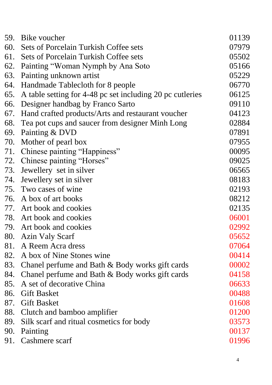| 59. | Bike voucher                                              | 01139 |
|-----|-----------------------------------------------------------|-------|
| 60. | Sets of Porcelain Turkish Coffee sets                     | 07979 |
| 61. | Sets of Porcelain Turkish Coffee sets                     | 05502 |
| 62. | Painting "Woman Nymph by Ana Soto"                        | 05166 |
| 63. | Painting unknown artist                                   | 05229 |
| 64. | Handmade Tablecloth for 8 people                          | 06770 |
| 65. | A table setting for 4-48 pc set including 20 pc cutleries | 06125 |
| 66. | Designer handbag by Franco Sarto                          | 09110 |
| 67. | Hand crafted products/Arts and restaurant voucher         | 04123 |
| 68. | Tea pot cups and saucer from designer Minh Long           | 02884 |
| 69. | Painting & DVD                                            | 07891 |
| 70. | Mother of pearl box                                       | 07955 |
| 71. | Chinese painting "Happiness"                              | 00095 |
|     | 72. Chinese painting "Horses"                             | 09025 |
| 73. | Jewellery set in silver                                   | 06565 |
| 74. | Jewellery set in silver                                   | 08183 |
|     | 75. Two cases of wine                                     | 02193 |
|     | 76. A box of art books                                    | 08212 |
|     | 77. Art book and cookies                                  | 02135 |
| 78. | Art book and cookies                                      | 06001 |
| 79. | Art book and cookies                                      | 02992 |
|     | 80. Azin Valy Scarf                                       | 05652 |
|     | 81. A Reem Acra dress                                     | 07064 |
|     | 82. A box of Nine Stones wine                             | 00414 |
|     | 83. Chanel perfume and Bath & Body works gift cards       | 00002 |
|     | 84. Chanel perfume and Bath & Body works gift cards       | 04158 |
| 85. | A set of decorative China                                 | 06633 |
|     | 86. Gift Basket                                           | 00488 |
|     | 87. Gift Basket                                           | 01608 |
|     | 88. Clutch and bamboo amplifier                           | 01200 |
| 89. | Silk scarf and ritual cosmetics for body                  | 03573 |
| 90. | Painting                                                  | 00137 |
|     | 91. Cashmere scarf                                        | 01996 |